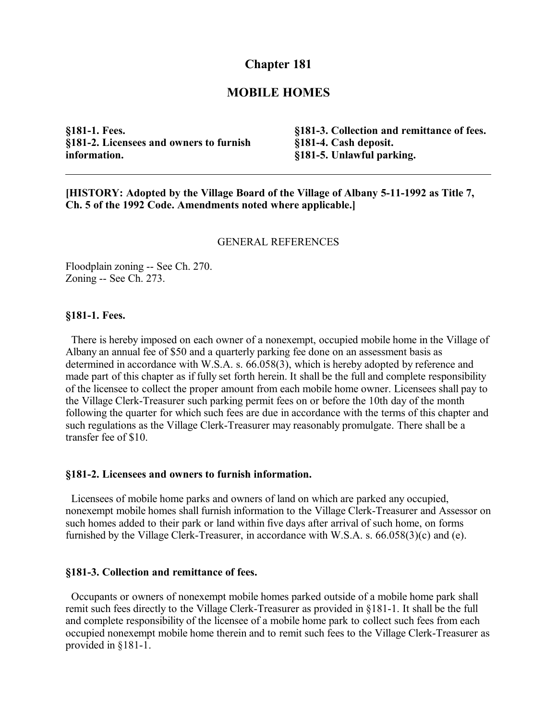# **Chapter 181**

## **MOBILE HOMES**

**§181-1. Fees. §181-2. Licensees and owners to furnish information.**

**§181-3. Collection and remittance of fees. §181-4. Cash deposit. §181-5. Unlawful parking.**

**[HISTORY: Adopted by the Village Board of the Village of Albany 5-11-1992 as Title 7, Ch. 5 of the 1992 Code. Amendments noted where applicable.]**

#### GENERAL REFERENCES

Floodplain zoning -- See Ch. 270. Zoning -- See Ch. 273.

### **§181-1. Fees.**

 There is hereby imposed on each owner of a nonexempt, occupied mobile home in the Village of Albany an annual fee of \$50 and a quarterly parking fee done on an assessment basis as determined in accordance with W.S.A. s. 66.058(3), which is hereby adopted by reference and made part of this chapter as if fully set forth herein. It shall be the full and complete responsibility of the licensee to collect the proper amount from each mobile home owner. Licensees shall pay to the Village Clerk-Treasurer such parking permit fees on or before the 10th day of the month following the quarter for which such fees are due in accordance with the terms of this chapter and such regulations as the Village Clerk-Treasurer may reasonably promulgate. There shall be a transfer fee of \$10.

#### **§181-2. Licensees and owners to furnish information.**

 Licensees of mobile home parks and owners of land on which are parked any occupied, nonexempt mobile homes shall furnish information to the Village Clerk-Treasurer and Assessor on such homes added to their park or land within five days after arrival of such home, on forms furnished by the Village Clerk-Treasurer, in accordance with W.S.A. s. 66.058(3)(c) and (e).

### **§181-3. Collection and remittance of fees.**

 Occupants or owners of nonexempt mobile homes parked outside of a mobile home park shall remit such fees directly to the Village Clerk-Treasurer as provided in §181-1. It shall be the full and complete responsibility of the licensee of a mobile home park to collect such fees from each occupied nonexempt mobile home therein and to remit such fees to the Village Clerk-Treasurer as provided in §181-1.